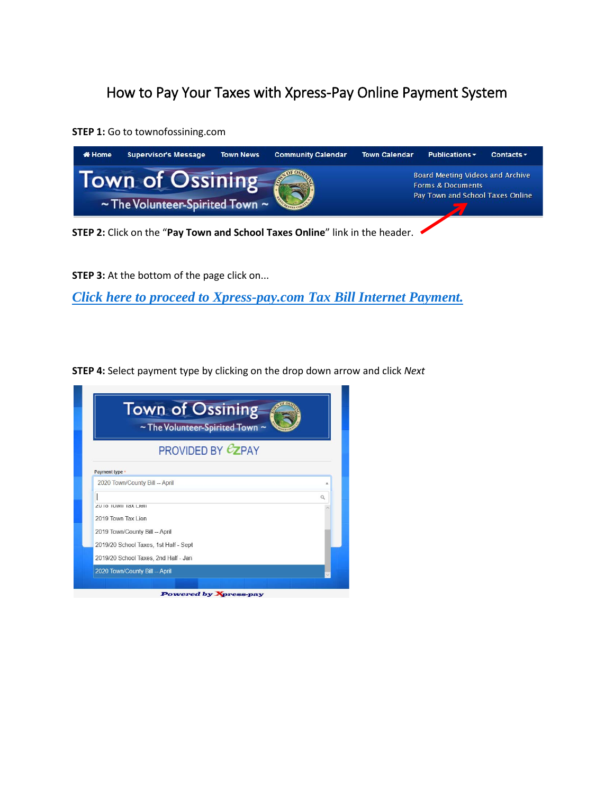# How to Pay Your Taxes with Xpress-Pay Online Payment System

**STEP 1:** Go to townofossining.com



**STEP 3:** At the bottom of the page click on...

*[Click here to proceed to Xpress-pay.com Tax Bill Internet Payment.](https://pay.xpress-pay.com/org/523EFFFA96BD403)*

**STEP 4:** Select payment type by clicking on the drop down arrow and click *Next*

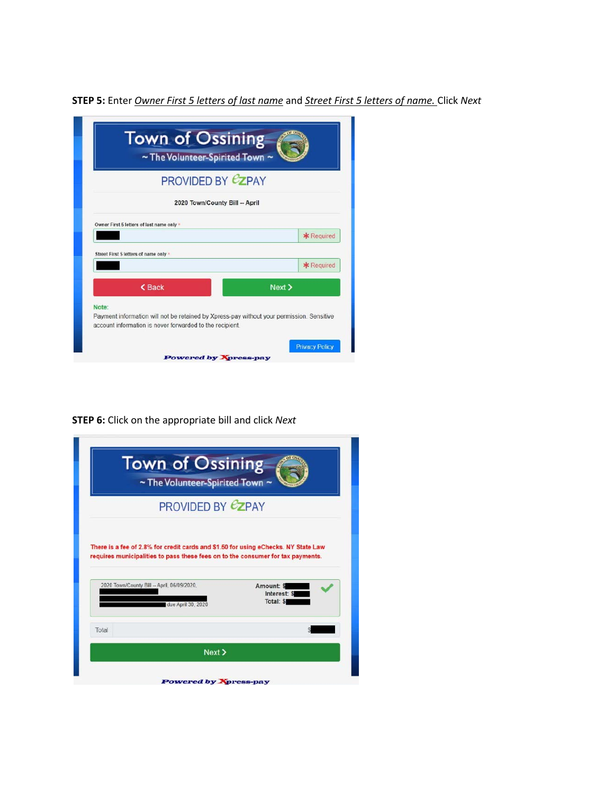**STEP 5:** Enter *Owner First 5 letters of last name* and *Street First 5 letters of name.* Click *Next*

| <b>Town of Ossining</b><br>~ The Volunteer-Spirited Town ~                                                                                            |                       |
|-------------------------------------------------------------------------------------------------------------------------------------------------------|-----------------------|
| <b>PROVIDED BY <math>\mathcal{C}</math>ZPAY</b>                                                                                                       |                       |
| 2020 Town/County Bill -- April                                                                                                                        |                       |
| Owner First 5 letters of last name only *                                                                                                             |                       |
|                                                                                                                                                       | * Required            |
| Street First 5 letters of name only +                                                                                                                 |                       |
|                                                                                                                                                       | * Required            |
| <b><back< b=""></back<></b>                                                                                                                           | Next >                |
| Note:                                                                                                                                                 |                       |
| Payment information will not be retained by Xpress-pay without your permission. Sensitive<br>account information is never forwarded to the recipient. |                       |
|                                                                                                                                                       |                       |
|                                                                                                                                                       | <b>Privacy Policy</b> |

**STEP 6:** Click on the appropriate bill and click *Next*

| <b>Town of Ossining</b><br>~ The Volunteer-Spirited Town ~                                                                                                    |                                         |  |  |  |
|---------------------------------------------------------------------------------------------------------------------------------------------------------------|-----------------------------------------|--|--|--|
| PROVIDED BY <b>CZPAY</b>                                                                                                                                      |                                         |  |  |  |
| There is a fee of 2.8% for credit cards and \$1.50 for using eChecks. NY State Law                                                                            |                                         |  |  |  |
| requires municipalities to pass these fees on to the consumer for tax payments.<br>2020 Town/County Bill -- April, 06/09/2020,<br>due April 30, 2020<br>Total | Amount: \$<br>Interest: \$<br>Total: \$ |  |  |  |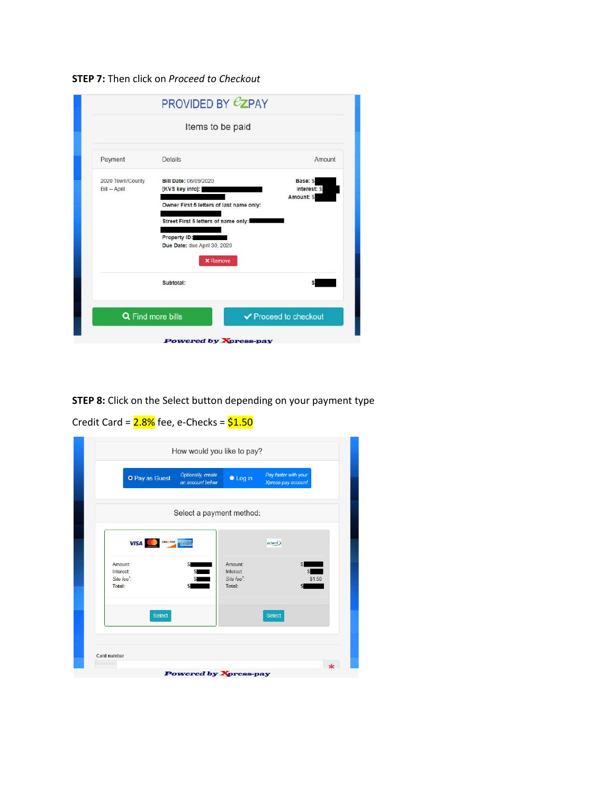## **STEP 7:** Then click on *Proceed to Checkout*

| Payment          | Details                                  | Amount                    |
|------------------|------------------------------------------|---------------------------|
| 2020 Town/County | Bill Date: 06/09/2020                    | Base: \$                  |
| Bill - April     | [KVS key info]:                          | Interest: \$<br>Amount: S |
|                  | Owner First 5 letters of last name only: |                           |
|                  |                                          |                           |
|                  | Street First 5 letters of name only:     |                           |
|                  | Property ID:                             |                           |
|                  | Due Date: due April 30, 2020             |                           |
|                  | <b>x</b> Remove                          |                           |
|                  | Subtotal:                                |                           |

**STEP 8:** Click on the Select button depending on your payment type

Credit Card =  $2.8\%$  fee, e-Checks =  $$1.50$ 

| O Pay as Guest                                          | Optionally, create<br>an account below | <b>C</b> Log in                                                | Pay faster with your<br>Xpress-pay account |
|---------------------------------------------------------|----------------------------------------|----------------------------------------------------------------|--------------------------------------------|
|                                                         | Select a payment method:               |                                                                |                                            |
| <b>VISA</b>                                             | DISCOVER AMERICAN                      |                                                                | echeck)                                    |
| Amount:<br>Interest:<br>Site fee <sup>*</sup><br>Total: | \$<br>s                                | <b>Amount:</b><br>Interest:<br>Site fee <sup>*</sup><br>Total: | \$1.50                                     |
| <b>Select</b>                                           |                                        |                                                                | Select                                     |
|                                                         |                                        |                                                                |                                            |